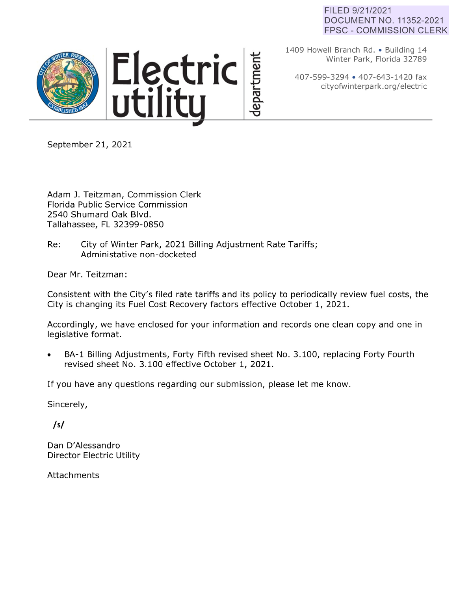## FILED 9/21/2021 DOCUMENT NO. 11352-2021 FPSC - COMMISSION CLERK



1409 Howell Branch Rd. • Building 14 Winter Park, Florida 32789

407-599-3294 • 407-643-1420 fax cityofwinterpark.org/electric

September 21, 2021

Adam J. Teitzman, Commission Clerk Florida Public Service Commission 2540 Shumard Oak Blvd. Tallahassee, FL 32399-0850

Re: City of Winter Park, 2021 Billing Adjustment Rate Tariffs; Administative non-docketed

Dear Mr. Teitzman:

Consistent with the City's filed rate tariffs and its policy to periodically review fuel costs, the City is changing its Fuel Cost Recovery factors effective October 1, 2021.

Accordingly, we have enclosed for your information and records one clean copy and one in legislative format.

BA-1 Billing Adjustments, Forty Fifth revised sheet No. 3.100, replacing Forty Fourth revised sheet No. 3.100 effective October 1, 2021.

If you have any questions regarding our submission, please let me know.

Sincerely,

*/sf* 

Dan D'Alessandro Director Electric Utility

Attachments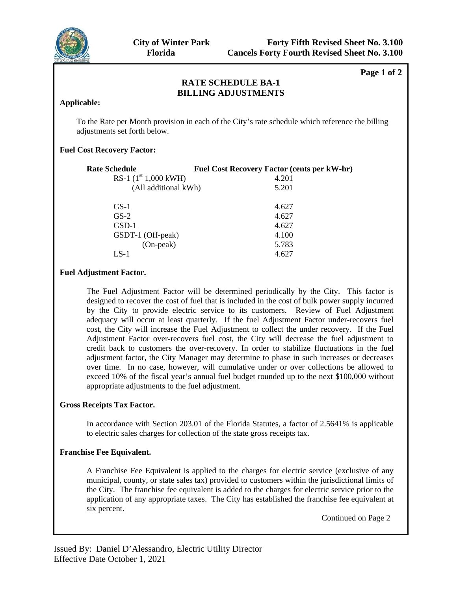

**Page 1 of 2** 

# **RATE SCHEDULE BA-1 BILLING ADJUSTMENTS**

### **Applicable:**

To the Rate per Month provision in each of the City's rate schedule which reference the billing adjustments set forth below.

## **Fuel Cost Recovery Factor:**

| <b>Rate Schedule</b>   | <b>Fuel Cost Recovery Factor (cents per kW-hr)</b> |
|------------------------|----------------------------------------------------|
| RS-1 $(1st 1,000$ kWH) | 4.201                                              |
| (All additional kWh)   | 5.201                                              |
| $GS-1$                 | 4.627                                              |
| $GS-2$                 | 4.627                                              |
| GSD-1                  | 4.627                                              |
| GSDT-1 (Off-peak)      | 4.100                                              |
| $(On-peak)$            | 5.783                                              |
| LS-1                   | 4.627                                              |
|                        |                                                    |

## **Fuel Adjustment Factor.**

The Fuel Adjustment Factor will be determined periodically by the City. This factor is designed to recover the cost of fuel that is included in the cost of bulk power supply incurred by the City to provide electric service to its customers. Review of Fuel Adjustment adequacy will occur at least quarterly. If the fuel Adjustment Factor under-recovers fuel cost, the City will increase the Fuel Adjustment to collect the under recovery. If the Fuel Adjustment Factor over-recovers fuel cost, the City will decrease the fuel adjustment to credit back to customers the over-recovery. In order to stabilize fluctuations in the fuel adjustment factor, the City Manager may determine to phase in such increases or decreases over time. In no case, however, will cumulative under or over collections be allowed to exceed 10% of the fiscal year's annual fuel budget rounded up to the next \$100,000 without appropriate adjustments to the fuel adjustment.

## **Gross Receipts Tax Factor.**

In accordance with Section 203.01 of the Florida Statutes, a factor of 2.5641% is applicable to electric sales charges for collection of the state gross receipts tax.

#### **Franchise Fee Equivalent.**

A Franchise Fee Equivalent is applied to the charges for electric service (exclusive of any municipal, county, or state sales tax) provided to customers within the jurisdictional limits of the City. The franchise fee equivalent is added to the charges for electric service prior to the application of any appropriate taxes. The City has established the franchise fee equivalent at six percent.

Continued on Page 2